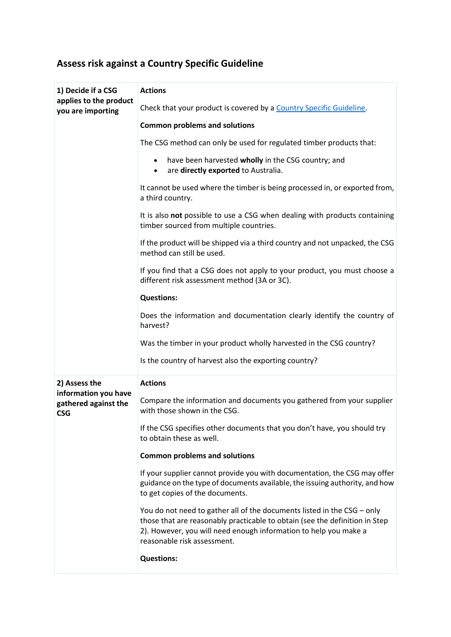## **Assess risk against a Country Specific Guideline**

| 1) Decide if a CSG<br>applies to the product<br>you are importing           | <b>Actions</b>                                                                                                                                                                                                                                            |
|-----------------------------------------------------------------------------|-----------------------------------------------------------------------------------------------------------------------------------------------------------------------------------------------------------------------------------------------------------|
|                                                                             | Check that your product is covered by a Country Specific Guideline.                                                                                                                                                                                       |
|                                                                             | <b>Common problems and solutions</b>                                                                                                                                                                                                                      |
|                                                                             | The CSG method can only be used for regulated timber products that:                                                                                                                                                                                       |
|                                                                             | have been harvested wholly in the CSG country; and<br>$\bullet$<br>are directly exported to Australia.<br>$\bullet$                                                                                                                                       |
|                                                                             | It cannot be used where the timber is being processed in, or exported from,<br>a third country.                                                                                                                                                           |
|                                                                             | It is also not possible to use a CSG when dealing with products containing<br>timber sourced from multiple countries.                                                                                                                                     |
|                                                                             | If the product will be shipped via a third country and not unpacked, the CSG<br>method can still be used.                                                                                                                                                 |
|                                                                             | If you find that a CSG does not apply to your product, you must choose a<br>different risk assessment method (3A or 3C).                                                                                                                                  |
|                                                                             | <b>Questions:</b>                                                                                                                                                                                                                                         |
|                                                                             | Does the information and documentation clearly identify the country of<br>harvest?                                                                                                                                                                        |
|                                                                             | Was the timber in your product wholly harvested in the CSG country?                                                                                                                                                                                       |
|                                                                             | Is the country of harvest also the exporting country?                                                                                                                                                                                                     |
| 2) Assess the<br>information you have<br>gathered against the<br><b>CSG</b> | <b>Actions</b>                                                                                                                                                                                                                                            |
|                                                                             | Compare the information and documents you gathered from your supplier<br>with those shown in the CSG.                                                                                                                                                     |
|                                                                             | If the CSG specifies other documents that you don't have, you should try<br>to obtain these as well.                                                                                                                                                      |
|                                                                             | <b>Common problems and solutions</b>                                                                                                                                                                                                                      |
|                                                                             | If your supplier cannot provide you with documentation, the CSG may offer<br>guidance on the type of documents available, the issuing authority, and how<br>to get copies of the documents.                                                               |
|                                                                             | You do not need to gather all of the documents listed in the CSG - only<br>those that are reasonably practicable to obtain (see the definition in Step<br>2). However, you will need enough information to help you make a<br>reasonable risk assessment. |
|                                                                             | <b>Questions:</b>                                                                                                                                                                                                                                         |